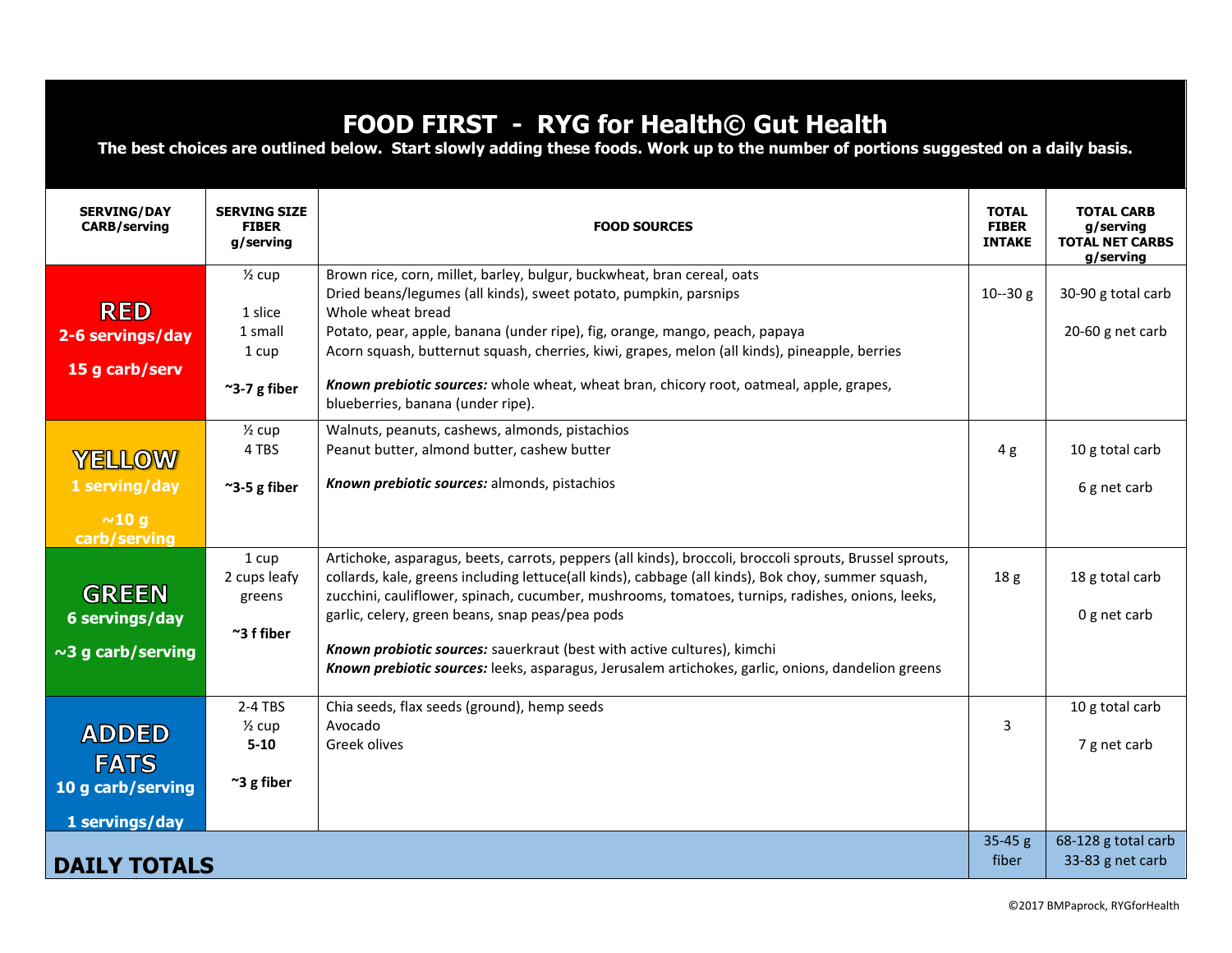## **FOOD FIRST - RYG for Health© Gut Health**

**The best choices are outlined below. Start slowly adding these foods. Work up to the number of portions suggested on a daily basis.**

| <b>SERVING/DAY</b><br><b>CARB/serving</b>                          | <b>SERVING SIZE</b><br><b>FIBER</b><br>g/serving                           | <b>FOOD SOURCES</b>                                                                                                                                                                                                                                                                                                                                                                                                                                                                                                                                  | <b>TOTAL</b><br><b>FIBER</b><br><b>INTAKE</b> | <b>TOTAL CARB</b><br>g/serving<br><b>TOTAL NET CARBS</b><br>g/serving |
|--------------------------------------------------------------------|----------------------------------------------------------------------------|------------------------------------------------------------------------------------------------------------------------------------------------------------------------------------------------------------------------------------------------------------------------------------------------------------------------------------------------------------------------------------------------------------------------------------------------------------------------------------------------------------------------------------------------------|-----------------------------------------------|-----------------------------------------------------------------------|
| <b>RED</b><br>2-6 servings/day<br>15 g carb/serv                   | $\frac{1}{2}$ cup<br>1 slice<br>1 small<br>1 cup<br>$~^{\sim}$ 3-7 g fiber | Brown rice, corn, millet, barley, bulgur, buckwheat, bran cereal, oats<br>Dried beans/legumes (all kinds), sweet potato, pumpkin, parsnips<br>Whole wheat bread<br>Potato, pear, apple, banana (under ripe), fig, orange, mango, peach, papaya<br>Acorn squash, butternut squash, cherries, kiwi, grapes, melon (all kinds), pineapple, berries<br>Known prebiotic sources: whole wheat, wheat bran, chicory root, oatmeal, apple, grapes,<br>blueberries, banana (under ripe).                                                                      | $10 - 30$ g                                   | 30-90 g total carb<br>20-60 g net carb                                |
| YELLOW<br>1 serving/day<br>~10 g<br>carb/serving                   | $\frac{1}{2}$ cup<br>4 TBS<br>$\approx$ 3-5 g fiber                        | Walnuts, peanuts, cashews, almonds, pistachios<br>Peanut butter, almond butter, cashew butter<br>Known prebiotic sources: almonds, pistachios                                                                                                                                                                                                                                                                                                                                                                                                        | 4g                                            | 10 g total carb<br>6 g net carb                                       |
| <b>GREEN</b><br>6 servings/day<br>$\sim$ 3 g carb/serving          | 1 cup<br>2 cups leafy<br>greens<br>$~\tilde{}$ 3 f fiber                   | Artichoke, asparagus, beets, carrots, peppers (all kinds), broccoli, broccoli sprouts, Brussel sprouts,<br>collards, kale, greens including lettuce(all kinds), cabbage (all kinds), Bok choy, summer squash,<br>zucchini, cauliflower, spinach, cucumber, mushrooms, tomatoes, turnips, radishes, onions, leeks,<br>garlic, celery, green beans, snap peas/pea pods<br>Known probiotic sources: sauerkraut (best with active cultures), kimchi<br>Known prebiotic sources: leeks, asparagus, Jerusalem artichokes, garlic, onions, dandelion greens | 18 <sub>g</sub>                               | 18 g total carb<br>0 g net carb                                       |
| <b>ADDED</b><br><b>FATS</b><br>10 g carb/serving<br>1 servings/day | $2-4$ TBS<br>$\frac{1}{2}$ cup<br>$5 - 10$<br>$\approx$ 3 g fiber          | Chia seeds, flax seeds (ground), hemp seeds<br>Avocado<br>Greek olives                                                                                                                                                                                                                                                                                                                                                                                                                                                                               | 3                                             | 10 g total carb<br>7 g net carb                                       |
| <b>DAILY TOTALS</b>                                                |                                                                            |                                                                                                                                                                                                                                                                                                                                                                                                                                                                                                                                                      | $35-45 g$<br>fiber                            | 68-128 g total carb<br>33-83 g net carb                               |